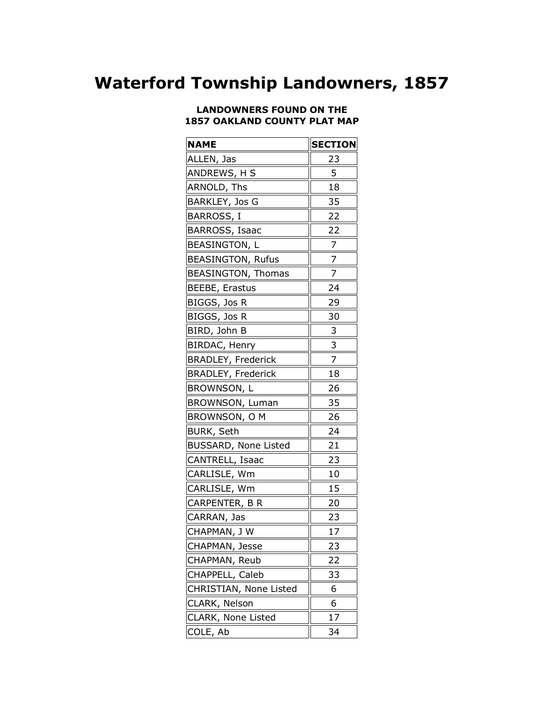## **Waterford Township Landowners, 1857**

## **LANDOWNERS FOUND ON THE 1857 OAKLAND COUNTY PLAT MAP**

| <b>NAME</b>               | <b>SECTION</b> |
|---------------------------|----------------|
| ALLEN, Jas                | 23             |
| ANDREWS, H S              | 5              |
| ARNOLD, Ths               | 18             |
| <b>BARKLEY, Jos G</b>     | 35             |
| BARROSS, I                | 22             |
| <b>BARROSS, Isaac</b>     | 22             |
| BEASINGTON, L             | 7              |
| <b>BEASINGTON, Rufus</b>  | $\frac{7}{1}$  |
| <b>BEASINGTON, Thomas</b> | 7              |
| <b>BEEBE, Erastus</b>     | 24             |
| BIGGS, Jos R              | 29             |
| BIGGS, Jos R              | 30             |
| BIRD, John B              | 3              |
| BIRDAC, Henry             | 3              |
| <b>BRADLEY, Frederick</b> | 7              |
| <b>BRADLEY, Frederick</b> | 18             |
| BROWNSON, L               | 26             |
| BROWNSON, Luman           | 35             |
| BROWNSON, O M             | 26             |
| <b>BURK, Seth</b>         | 24             |
| BUSSARD, None Listed      | 21             |
| CANTRELL, Isaac           | 23             |
| CARLISLE, Wm              | 10             |
| CARLISLE, Wm              | 15             |
| CARPENTER, B R            | 20             |
| CARRAN, Jas               | 23             |
| CHAPMAN, JW               | 17             |
| CHAPMAN, Jesse            | 23             |
| CHAPMAN, Reub             | 22             |
| CHAPPELL, Caleb           | 33             |
| CHRISTIAN, None Listed    | 6              |
| CLARK, Nelson             | 6              |
| CLARK, None Listed        | 17             |
| COLE, Ab                  | 34             |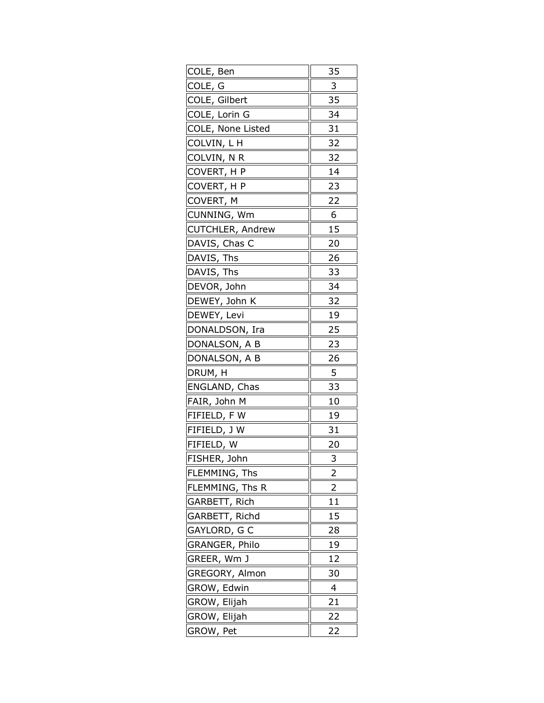| COLE, Ben               | 35             |
|-------------------------|----------------|
| COLE, G                 | 3              |
| COLE, Gilbert           | 35             |
| COLE, Lorin G           | 34             |
| COLE, None Listed       | 31             |
| COLVIN, L H             | 32             |
| COLVIN, N R             | 32             |
| COVERT, H P             | 14             |
| COVERT, H P             | 23             |
| COVERT, M               | 22             |
| CUNNING, Wm             | 6              |
| <b>CUTCHLER, Andrew</b> | 15             |
| DAVIS, Chas C           | 20             |
| DAVIS, Ths              | 26             |
| DAVIS, Ths              | 33             |
| DEVOR, John             | 34             |
| DEWEY, John K           | 32             |
| DEWEY, Levi             | 19             |
| DONALDSON, Ira          | 25             |
| DONALSON, A B           | 23             |
| DONALSON, A B           | 26             |
| DRUM, H                 | 5              |
| ENGLAND, Chas           | 33             |
| FAIR, John M            | 10             |
| FIFIELD, FW             | 19             |
| FIFIELD, J W            | 31             |
| FIFIELD, W              | 20             |
| FISHER, John            | 3              |
| FLEMMING, Ths           | 2              |
| FLEMMING, Ths R         | 2              |
| GARBETT, Rich           | 11             |
| GARBETT, Richd          | 15             |
| GAYLORD, G C            | 28             |
| GRANGER, Philo          | 19             |
| GREER, Wm J             | 12             |
| GREGORY, Almon          | 30             |
| GROW, Edwin             | $\overline{4}$ |
| GROW, Elijah            | 21             |
| GROW, Elijah            | 22             |
| GROW, Pet               | 22             |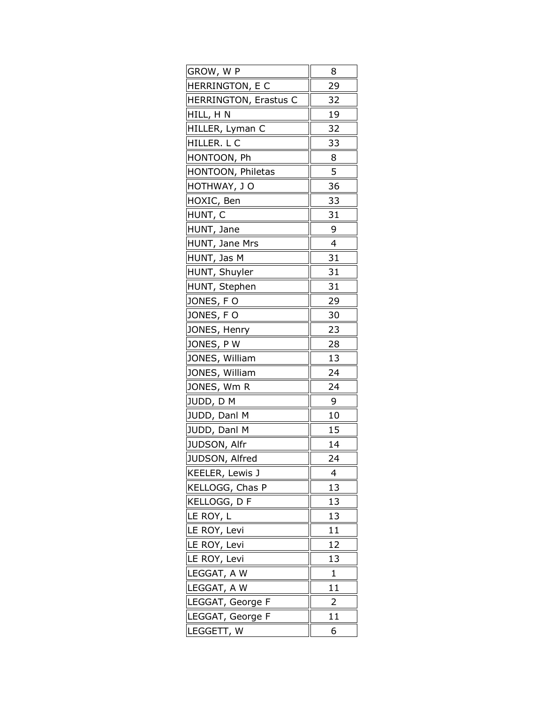| GROW, W P             | 8            |
|-----------------------|--------------|
| HERRINGTON, E C       | 29           |
| HERRINGTON, Erastus C | 32           |
| HILL, HN              | 19           |
| HILLER, Lyman C       | 32           |
| HILLER. L C           | 33           |
| HONTOON, Ph           | 8            |
| HONTOON, Philetas     | 5            |
| HOTHWAY, JO           | 36           |
| HOXIC, Ben            | 33           |
| HUNT, C               | 31           |
| HUNT, Jane            | 9            |
| HUNT, Jane Mrs        | 4            |
| HUNT, Jas M           | 31           |
| HUNT, Shuyler         | 31           |
| HUNT, Stephen         | 31           |
| <u>JONES, F O</u>     | 29           |
| JONES, FO             | 30           |
| JONES, Henry          | 23           |
| JONES, PW             | 28           |
| JONES, William        | 13           |
| JONES, William        | 24           |
| JONES, Wm R           | 24           |
| JUDD, D M             | 9            |
| JUDD, Danl M          | 10           |
| JUDD, Danl M          | 15           |
| JUDSON, Alfr          | 14           |
| JUDSON, Alfred        | 24           |
| KEELER, Lewis J       | 4            |
| KELLOGG, Chas P       | 13           |
| KELLOGG, D F          | 13           |
| LE ROY, L             | 13           |
| LE ROY, Levi          | 11           |
| LE ROY, Levi          | 12           |
| LE ROY, Levi          | 13           |
| LEGGAT, A W           | $\mathbf{1}$ |
| LEGGAT, A W           | 11           |
| LEGGAT, George F      | 2            |
| LEGGAT, George F      | 11           |
| LEGGETT, W            | 6            |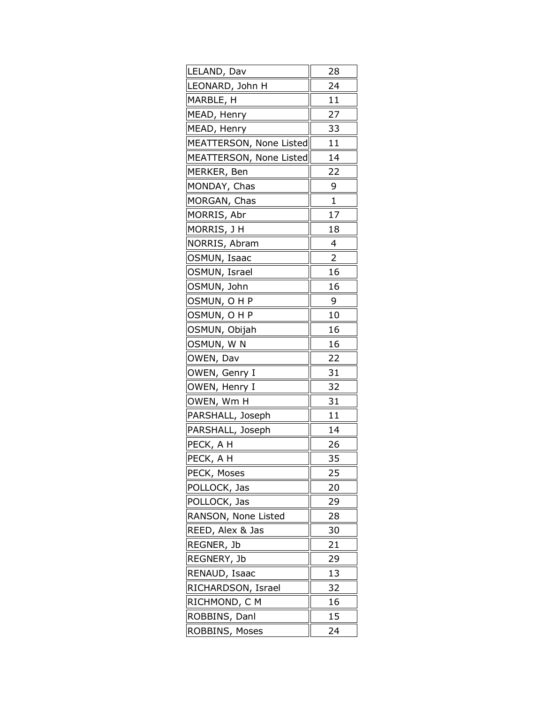| LELAND, Dav             | 28             |
|-------------------------|----------------|
| LEONARD, John H         | 24             |
| MARBLE, H               | 11             |
| MEAD, Henry             | 27             |
| MEAD, Henry             | 33             |
| MEATTERSON, None Listed | 11             |
| MEATTERSON, None Listed | 14             |
| MERKER, Ben             | 22             |
| MONDAY, Chas            | 9              |
| MORGAN, Chas            | 1              |
| MORRIS, Abr             | 17             |
| MORRIS, J H             | 18             |
| NORRIS, Abram           | 4              |
| OSMUN, Isaac            | $\overline{2}$ |
| OSMUN, Israel           | 16             |
| OSMUN, John             | 16             |
| <u>OSMUN, O H P</u>     | 9              |
| OSMUN, OHP              | 10             |
| OSMUN, Obijah           | 16             |
| OSMUN, W N              | 16             |
| OWEN, Dav               | 22             |
| OWEN, Genry I           | 31             |
| OWEN, Henry I           | 32             |
| OWEN, Wm H              | 31             |
| PARSHALL, Joseph        | 11             |
| PARSHALL, Joseph        | 14             |
| PECK, A H               | 26             |
| PECK, A H               | 35             |
| PECK, Moses             | 25             |
| POLLOCK, Jas            | 20             |
| POLLOCK, Jas            | 29             |
| RANSON, None Listed     | 28             |
| REED, Alex & Jas        | 30             |
| REGNER, Jb              | 21             |
| REGNERY, Jb             | 29             |
| RENAUD, Isaac           | 13             |
| RICHARDSON, Israel      | 32             |
| RICHMOND, C M           | 16             |
| ROBBINS, Danl           | 15             |
| ROBBINS, Moses          | 24             |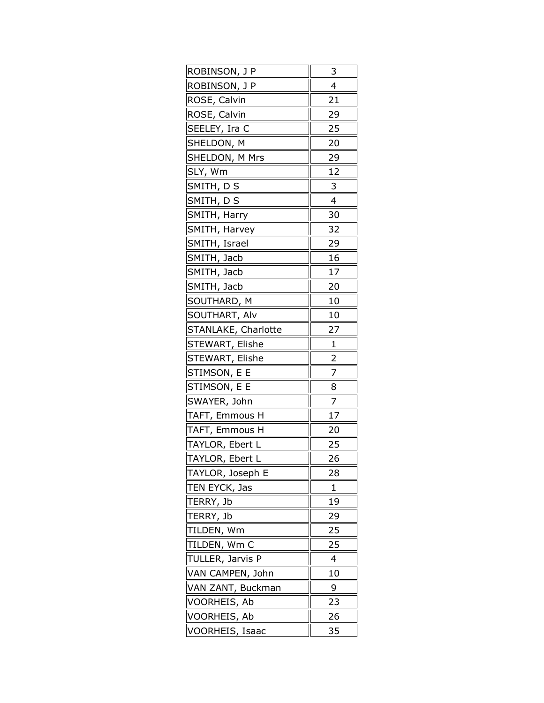| ROBINSON, J P       | 3              |
|---------------------|----------------|
| ROBINSON, J P       | 4              |
| ROSE, Calvin        | 21             |
| ROSE, Calvin        | 29             |
| SEELEY, Ira C       | 25             |
| SHELDON, M          | 20             |
| SHELDON, M Mrs      | 29             |
| SLY, Wm             | 12             |
| SMITH, D S          | 3              |
| SMITH, DS           | 4              |
| SMITH, Harry        | 30             |
| SMITH, Harvey       | 32             |
| SMITH, Israel       | 29             |
| SMITH, Jacb         | 16             |
| SMITH, Jacb         | 17             |
| SMITH, Jacb         | 20             |
| SOUTHARD, M         | 10             |
| SOUTHART, Alv       | 10             |
| STANLAKE, Charlotte | 27             |
| STEWART, Elishe     | $\mathbf{1}$   |
| STEWART, Elishe     | $\overline{2}$ |
| STIMSON, E E        | 7              |
| STIMSON, E E        | 8              |
| SWAYER, John        | $\overline{z}$ |
| TAFT, Emmous H      | 17             |
| TAFT, Emmous H      | 20             |
| TAYLOR, Ebert L     | 25             |
| TAYLOR, Ebert L     | 26             |
| TAYLOR, Joseph E    | 28             |
| TEN EYCK, Jas       | 1              |
| TERRY, Jb           | 19             |
| TERRY, Jb           | 29             |
| TILDEN, Wm          | 25             |
| TILDEN, Wm C        | 25             |
| TULLER, Jarvis P    | 4              |
| VAN CAMPEN, John    | 10             |
| VAN ZANT, Buckman   | 9              |
| VOORHEIS, Ab        | 23             |
| VOORHEIS, Ab        | 26             |
| VOORHEIS, Isaac     | 35             |